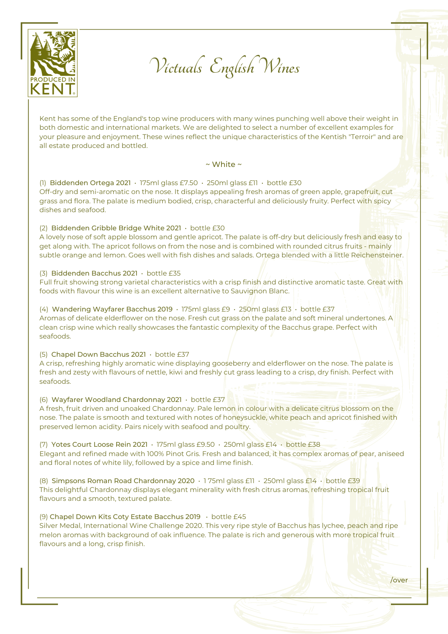

**Victuals English Wines**

Kent has some of the England's top wine producers with many wines punching well above their weight in both domestic and international markets. We are delighted to select a number of excellent examples for your pleasure and enjoyment. These wines reflect the unique characteristics of the Kentish "Terroir" and are all estate produced and bottled.

### $\sim$  White  $\sim$

(1) Biddenden Ortega 2021 • 175ml glass £7.50 • 250ml glass £11 • bottle £30 Off-dry and semi-aromatic on the nose. It displays appealing fresh aromas of green apple, grapefruit, cut grass and flora. The palate is medium bodied, crisp, characterful and deliciously fruity. Perfect with spicy dishes and seafood.

## (2) Biddenden Gribble Bridge White 2021 • bottle £30

A lovely nose of soft apple blossom and gentle apricot. The palate is off-dry but deliciously fresh and easy to get along with. The apricot follows on from the nose and is combined with rounded citrus fruits - mainly subtle orange and lemon. Goes well with fish dishes and salads. Ortega blended with a little Reichensteiner.

# (3) Biddenden Bacchus 2021 • bottle £35

Full fruit showing strong varietal characteristics with a crisp finish and distinctive aromatic taste. Great with foods with flavour this wine is an excellent alternative to Sauvignon Blanc.

(4) Wandering Wayfarer Bacchus 2019 • 175ml glass £9 • 250ml glass £13 • bottle £37 Aromas of delicate elderflower on the nose. Fresh cut grass on the palate and soft mineral undertones. A clean crisp wine which really showcases the fantastic complexity of the Bacchus grape. Perfect with seafoods.

## (5) Chapel Down Bacchus 2021 • bottle £37

A crisp, refreshing highly aromatic wine displaying gooseberry and elderflower on the nose. The palate is fresh and zesty with flavours of nettle, kiwi and freshly cut grass leading to a crisp, dry finish. Perfect with seafoods.

## (6) Wayfarer Woodland Chardonnay 2021 • bottle £37

A fresh, fruit driven and unoaked Chardonnay. Pale lemon in colour with a delicate citrus blossom on the nose. The palate is smooth and textured with notes of honeysuckle, white peach and apricot finished with preserved lemon acidity. Pairs nicely with seafood and poultry.

(7) Yotes Court Loose Rein 2021 • 175ml glass £9.50 • 250ml glass £14 • bottle £38 Elegant and refined made with 100% Pinot Gris. Fresh and balanced, it has complex aromas of pear, aniseed and floral notes of white lily, followed by a spice and lime finish.

(8) Simpsons Roman Road Chardonnay 2020 • 1 75ml glass £11 • 250ml glass £14 • bottle £39 This delightful Chardonnay displays elegant minerality with fresh citrus aromas, refreshing tropical fruit flavours and a smooth, textured palate.

## (9) Chapel Down Kits Coty Estate Bacchus 2019 • bottle £45

Silver Medal, International Wine Challenge 2020. This very ripe style of Bacchus has lychee, peach and ripe melon aromas with background of oak influence. The palate is rich and generous with more tropical fruit flavours and a long, crisp finish.